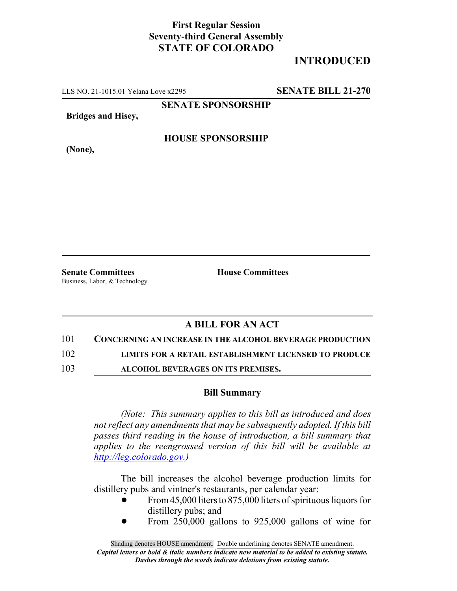### **First Regular Session Seventy-third General Assembly STATE OF COLORADO**

# **INTRODUCED**

LLS NO. 21-1015.01 Yelana Love x2295 **SENATE BILL 21-270**

**SENATE SPONSORSHIP**

**Bridges and Hisey,**

**HOUSE SPONSORSHIP**

**(None),**

**Senate Committees House Committees** Business, Labor, & Technology

## **A BILL FOR AN ACT**

#### 101 **CONCERNING AN INCREASE IN THE ALCOHOL BEVERAGE PRODUCTION**

102 **LIMITS FOR A RETAIL ESTABLISHMENT LICENSED TO PRODUCE**

103 **ALCOHOL BEVERAGES ON ITS PREMISES.**

### **Bill Summary**

*(Note: This summary applies to this bill as introduced and does not reflect any amendments that may be subsequently adopted. If this bill passes third reading in the house of introduction, a bill summary that applies to the reengrossed version of this bill will be available at http://leg.colorado.gov.)*

The bill increases the alcohol beverage production limits for distillery pubs and vintner's restaurants, per calendar year:

- From 45,000 liters to 875,000 liters of spirituous liquors for distillery pubs; and
- From 250,000 gallons to 925,000 gallons of wine for